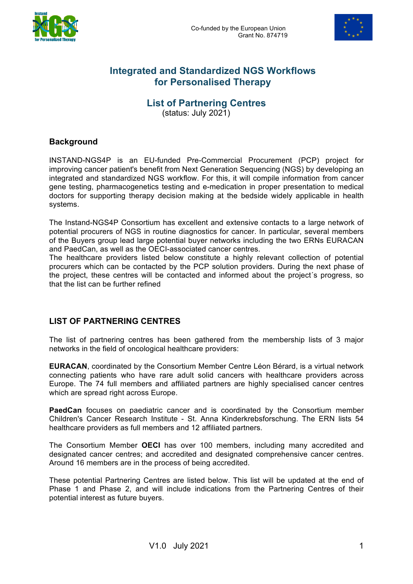



## **Integrated and Standardized NGS Workflows for Personalised Therapy**

## **List of Partnering Centres**

(status: July 2021)

#### **Background**

INSTAND-NGS4P is an EU-funded Pre-Commercial Procurement (PCP) project for improving cancer patient's benefit from Next Generation Sequencing (NGS) by developing an integrated and standardized NGS workflow. For this, it will compile information from cancer gene testing, pharmacogenetics testing and e-medication in proper presentation to medical doctors for supporting therapy decision making at the bedside widely applicable in health systems.

The Instand-NGS4P Consortium has excellent and extensive contacts to a large network of potential procurers of NGS in routine diagnostics for cancer. In particular, several members of the Buyers group lead large potential buyer networks including the two ERNs EURACAN and PaedCan, as well as the OECI-associated cancer centres.

The healthcare providers listed below constitute a highly relevant collection of potential procurers which can be contacted by the PCP solution providers. During the next phase of the project, these centres will be contacted and informed about the project´s progress, so that the list can be further refined

#### **LIST OF PARTNERING CENTRES**

The list of partnering centres has been gathered from the membership lists of 3 major networks in the field of oncological healthcare providers:

**EURACAN**, coordinated by the Consortium Member Centre Léon Bérard, is a virtual network connecting patients who have rare adult solid cancers with healthcare providers across Europe. The 74 full members and affiliated partners are highly specialised cancer centres which are spread right across Europe.

**PaedCan** focuses on paediatric cancer and is coordinated by the Consortium member Children's Cancer Research Institute - St. Anna Kinderkrebsforschung. The ERN lists 54 healthcare providers as full members and 12 affiliated partners.

The Consortium Member **OECI** has over 100 members, including many accredited and designated cancer centres; and accredited and designated comprehensive cancer centres. Around 16 members are in the process of being accredited.

These potential Partnering Centres are listed below. This list will be updated at the end of Phase 1 and Phase 2, and will include indications from the Partnering Centres of their potential interest as future buyers.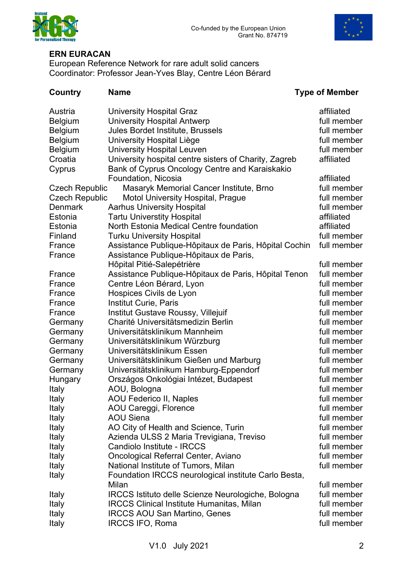



### **ERN EURACAN**

European Reference Network for rare adult solid cancers Coordinator: Professor Jean-Yves Blay, Centre Léon Bérard

| Country               | <b>Name</b>                                           | <b>Type of Member</b> |
|-----------------------|-------------------------------------------------------|-----------------------|
| Austria               | <b>University Hospital Graz</b>                       | affiliated            |
| <b>Belgium</b>        | <b>University Hospital Antwerp</b>                    | full member           |
| <b>Belgium</b>        | Jules Bordet Institute, Brussels                      | full member           |
| <b>Belgium</b>        | University Hospital Liège                             | full member           |
| <b>Belgium</b>        | <b>University Hospital Leuven</b>                     | full member           |
| Croatia               | University hospital centre sisters of Charity, Zagreb | affiliated            |
| Cyprus                | Bank of Cyprus Oncology Centre and Karaiskakio        |                       |
|                       | Foundation, Nicosia                                   | affiliated            |
| <b>Czech Republic</b> | Masaryk Memorial Cancer Institute, Brno               | full member           |
| <b>Czech Republic</b> | <b>Motol University Hospital, Prague</b>              | full member           |
| <b>Denmark</b>        | <b>Aarhus University Hospital</b>                     | full member           |
| Estonia               | <b>Tartu Universtity Hospital</b>                     | affiliated            |
| Estonia               | North Estonia Medical Centre foundation               | affiliated            |
| Finland               | <b>Turku University Hospital</b>                      | full member           |
| France                | Assistance Publique-Hôpitaux de Paris, Hôpital Cochin | full member           |
| France                | Assistance Publique-Hôpitaux de Paris,                |                       |
|                       | Hôpital Pitié-Salepétrière                            | full member           |
| France                | Assistance Publique-Hôpitaux de Paris, Hôpital Tenon  | full member           |
| France                | Centre Léon Bérard, Lyon                              | full member           |
| France                | Hospices Civils de Lyon                               | full member           |
| France                | <b>Institut Curie, Paris</b>                          | full member           |
| France                | Institut Gustave Roussy, Villejuif                    | full member           |
| Germany               | Charité Universitätsmedizin Berlin                    | full member           |
| Germany               | Universitätsklinikum Mannheim                         | full member           |
| Germany               | Universitätsklinikum Würzburg                         | full member           |
| Germany               | Universitätsklinikum Essen                            | full member           |
| Germany               | Universitätsklinikum Gießen und Marburg               | full member           |
| Germany               | Universitätsklinikum Hamburg-Eppendorf                | full member           |
| Hungary               | Országos Onkológiai Intézet, Budapest                 | full member           |
| Italy                 | AOU, Bologna                                          | full member           |
| <b>Italy</b>          | <b>AOU Federico II, Naples</b>                        | full member           |
| Italy                 | AOU Careggi, Florence                                 | full member           |
| Italy                 | <b>AOU Siena</b>                                      | full member           |
| Italy                 | AO City of Health and Science, Turin                  | full member           |
| Italy                 | Azienda ULSS 2 Maria Trevigiana, Treviso              | full member           |
| Italy                 | Candiolo Institute - IRCCS                            | full member           |
| Italy                 | Oncological Referral Center, Aviano                   | full member           |
| Italy                 | National Institute of Tumors, Milan                   | full member           |
| Italy                 | Foundation IRCCS neurological institute Carlo Besta,  |                       |
|                       | Milan                                                 | full member           |
| Italy                 | IRCCS Istituto delle Scienze Neurologiche, Bologna    | full member           |
| Italy                 | <b>IRCCS Clinical Institute Humanitas, Milan</b>      | full member           |
| <b>Italy</b>          | <b>IRCCS AOU San Martino, Genes</b>                   | full member           |
| Italy                 | <b>IRCCS IFO, Roma</b>                                | full member           |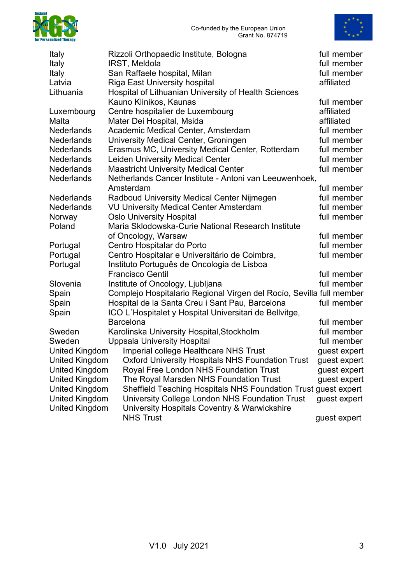



| Rizzoli Orthopaedic Institute, Bologna                                  | full member                                                                                                                                                                                                                                                                                                 |
|-------------------------------------------------------------------------|-------------------------------------------------------------------------------------------------------------------------------------------------------------------------------------------------------------------------------------------------------------------------------------------------------------|
| IRST, Meldola                                                           | full member                                                                                                                                                                                                                                                                                                 |
| San Raffaele hospital, Milan                                            | full member                                                                                                                                                                                                                                                                                                 |
| <b>Riga East University hospital</b>                                    | affiliated                                                                                                                                                                                                                                                                                                  |
| Hospital of Lithuanian University of Health Sciences                    |                                                                                                                                                                                                                                                                                                             |
| Kauno Klinikos, Kaunas                                                  | full member                                                                                                                                                                                                                                                                                                 |
| Centre hospitalier de Luxembourg                                        | affiliated                                                                                                                                                                                                                                                                                                  |
| Mater Dei Hospital, Msida                                               | affiliated                                                                                                                                                                                                                                                                                                  |
| Academic Medical Center, Amsterdam                                      | full member                                                                                                                                                                                                                                                                                                 |
| University Medical Center, Groningen                                    | full member                                                                                                                                                                                                                                                                                                 |
| Erasmus MC, University Medical Center, Rotterdam                        | full member                                                                                                                                                                                                                                                                                                 |
| <b>Leiden University Medical Center</b>                                 | full member                                                                                                                                                                                                                                                                                                 |
| <b>Maastricht University Medical Center</b>                             | full member                                                                                                                                                                                                                                                                                                 |
|                                                                         |                                                                                                                                                                                                                                                                                                             |
| Amsterdam                                                               | full member                                                                                                                                                                                                                                                                                                 |
| Radboud University Medical Center Nijmegen                              | full member                                                                                                                                                                                                                                                                                                 |
| <b>VU University Medical Center Amsterdam</b>                           | full member                                                                                                                                                                                                                                                                                                 |
| <b>Oslo University Hospital</b>                                         | full member                                                                                                                                                                                                                                                                                                 |
| Maria Sklodowska-Curie National Research Institute                      |                                                                                                                                                                                                                                                                                                             |
| of Oncology, Warsaw                                                     | full member                                                                                                                                                                                                                                                                                                 |
| Centro Hospitalar do Porto                                              | full member                                                                                                                                                                                                                                                                                                 |
| Centro Hospitalar e Universitário de Coimbra,                           | full member                                                                                                                                                                                                                                                                                                 |
| Instituto Português de Oncologia de Lisboa                              |                                                                                                                                                                                                                                                                                                             |
| <b>Francisco Gentil</b>                                                 | full member                                                                                                                                                                                                                                                                                                 |
| Institute of Oncology, Ljubljana                                        | full member                                                                                                                                                                                                                                                                                                 |
|                                                                         |                                                                                                                                                                                                                                                                                                             |
| Hospital de la Santa Creu i Sant Pau, Barcelona                         | full member                                                                                                                                                                                                                                                                                                 |
| ICO L'Hospitalet y Hospital Universitari de Bellvitge,                  |                                                                                                                                                                                                                                                                                                             |
| <b>Barcelona</b>                                                        | full member                                                                                                                                                                                                                                                                                                 |
| Karolinska University Hospital, Stockholm                               | full member                                                                                                                                                                                                                                                                                                 |
| <b>Uppsala University Hospital</b>                                      | full member                                                                                                                                                                                                                                                                                                 |
| Imperial college Healthcare NHS Trust                                   | quest expert                                                                                                                                                                                                                                                                                                |
|                                                                         |                                                                                                                                                                                                                                                                                                             |
| <b>United Kingdom</b><br>Royal Free London NHS Foundation Trust         | guest expert                                                                                                                                                                                                                                                                                                |
| <b>United Kingdom</b><br>The Royal Marsden NHS Foundation Trust         | guest expert                                                                                                                                                                                                                                                                                                |
| <b>United Kingdom</b>                                                   |                                                                                                                                                                                                                                                                                                             |
| <b>United Kingdom</b><br>University College London NHS Foundation Trust | guest expert                                                                                                                                                                                                                                                                                                |
| <b>United Kingdom</b><br>University Hospitals Coventry & Warwickshire   |                                                                                                                                                                                                                                                                                                             |
| <b>NHS Trust</b>                                                        | guest expert                                                                                                                                                                                                                                                                                                |
|                                                                         | Netherlands Cancer Institute - Antoni van Leeuwenhoek,<br>Complejo Hospitalario Regional Virgen del Rocío, Sevilla full member<br><b>United Kingdom</b><br>United Kingdom  Oxford University Hospitals NHS Foundation Trust  guest expert<br>Sheffield Teaching Hospitals NHS Foundation Trust guest expert |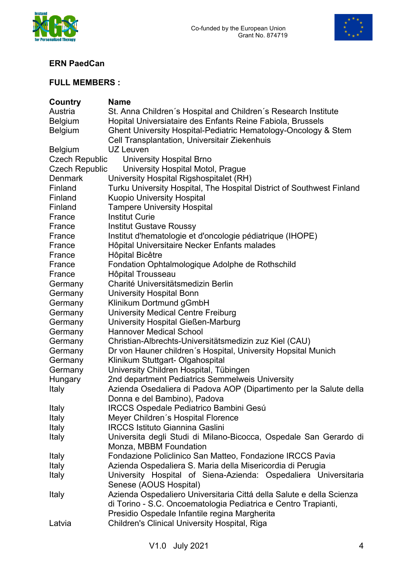



### **ERN PaedCan**

# **FULL MEMBERS :**

| Country               | <b>Name</b>                                                           |
|-----------------------|-----------------------------------------------------------------------|
| Austria               | St. Anna Children's Hospital and Children's Research Institute        |
| <b>Belgium</b>        | Hopital Universiataire des Enfants Reine Fabiola, Brussels            |
| <b>Belgium</b>        | Ghent University Hospital-Pediatric Hematology-Oncology & Stem        |
|                       | Cell Transplantation, Universitair Ziekenhuis                         |
| <b>Belgium</b>        | UZ Leuven                                                             |
| <b>Czech Republic</b> | <b>University Hospital Brno</b>                                       |
| Czech Republic        | University Hospital Motol, Prague                                     |
| <b>Denmark</b>        | University Hospital Rigshospitalet (RH)                               |
| Finland               | Turku University Hospital, The Hospital District of Southwest Finland |
| Finland               | <b>Kuopio University Hospital</b>                                     |
| Finland               | <b>Tampere University Hospital</b>                                    |
| France                | <b>Institut Curie</b>                                                 |
| France                | <b>Institut Gustave Roussy</b>                                        |
| France                | Institut d'hematologie et d'oncologie pédiatrique (IHOPE)             |
| France                | Hôpital Universitaire Necker Enfants malades                          |
| France                | Hôpital Bicêtre                                                       |
| France                | Fondation Ophtalmologique Adolphe de Rothschild                       |
| France                | <b>Hôpital Trousseau</b>                                              |
| Germany               | Charité Universitätsmedizin Berlin                                    |
| Germany               | <b>University Hospital Bonn</b>                                       |
| Germany               | Klinikum Dortmund gGmbH                                               |
| Germany               | <b>University Medical Centre Freiburg</b>                             |
| Germany               | University Hospital Gießen-Marburg                                    |
| Germany               | <b>Hannover Medical School</b>                                        |
| Germany               | Christian-Albrechts-Universitätsmedizin zuz Kiel (CAU)                |
| Germany               | Dr von Hauner children's Hospital, University Hopsital Munich         |
| Germany               | Klinikum Stuttgart- Olgahospital                                      |
| Germany               | University Children Hospital, Tübingen                                |
| Hungary               | 2nd department Pediatrics Semmelweis University                       |
| Italy                 | Azienda Osedaliera di Padova AOP (Dipartimento per la Salute della    |
|                       | Donna e del Bambino), Padova                                          |
| Italy                 | <b>IRCCS Ospedale Pediatrico Bambini Gesú</b>                         |
| Italy                 | Meyer Children's Hospital Florence                                    |
| Italy                 | <b>IRCCS Istituto Giannina Gaslini</b>                                |
| <b>Italy</b>          | Universita degli Studi di Milano-Bicocca, Ospedale San Gerardo di     |
|                       | Monza, MBBM Foundation                                                |
| Italy                 | Fondazione Policlinico San Matteo, Fondazione IRCCS Pavia             |
| Italy                 | Azienda Ospedaliera S. Maria della Misericordia di Perugia            |
| Italy                 | University Hospital of Siena-Azienda: Ospedaliera Universitaria       |
|                       | Senese (AOUS Hospital)                                                |
| Italy                 | Azienda Ospedaliero Universitaria Cittá della Salute e della Scienza  |
|                       | di Torino - S.C. Oncoematologia Pediatrica e Centro Trapianti,        |
|                       | Presidio Ospedale Infantile regina Margherita                         |
| Latvia                | Children's Clinical University Hospital, Riga                         |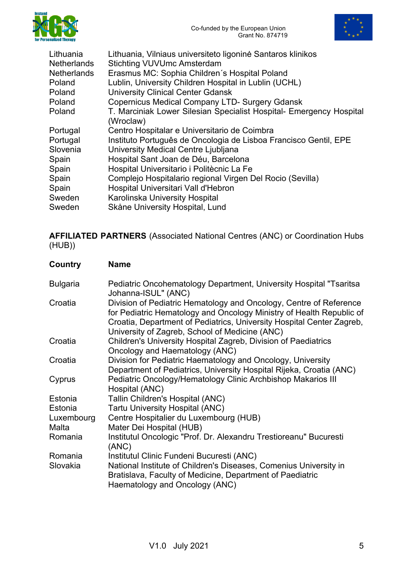



| Lithuania, Vilniaus universiteto ligoninė Santaros klinikos                      |
|----------------------------------------------------------------------------------|
| <b>Stichting VUVUmc Amsterdam</b>                                                |
| Erasmus MC: Sophia Children's Hospital Poland                                    |
| Lublin, University Children Hospital in Lublin (UCHL)                            |
| <b>University Clinical Center Gdansk</b>                                         |
| <b>Copernicus Medical Company LTD- Surgery Gdansk</b>                            |
| T. Marciniak Lower Silesian Specialist Hospital- Emergency Hospital<br>(Wroclaw) |
| Centro Hospitalar e Universitario de Coimbra                                     |
| Instituto Português de Oncologia de Lisboa Francisco Gentil, EPE                 |
| University Medical Centre Ljubljana                                              |
| Hospital Sant Joan de Déu, Barcelona                                             |
| Hospital Universitario i Politècnic La Fe                                        |
| Complejo Hospitalario regional Virgen Del Rocio (Sevilla)                        |
| Hospital Universitari Vall d'Hebron                                              |
| Karolinska University Hospital                                                   |
| Skåne University Hospital, Lund                                                  |
|                                                                                  |

**AFFILIATED PARTNERS** (Associated National Centres (ANC) or Coordination Hubs (HUB))

| Country         | <b>Name</b>                                                                                                                                                                                                                                                           |
|-----------------|-----------------------------------------------------------------------------------------------------------------------------------------------------------------------------------------------------------------------------------------------------------------------|
| <b>Bulgaria</b> | Pediatric Oncohematology Department, University Hospital "Tsaritsa<br>Johanna-ISUL" (ANC)                                                                                                                                                                             |
| Croatia         | Division of Pediatric Hematology and Oncology, Centre of Reference<br>for Pediatric Hematology and Oncology Ministry of Health Republic of<br>Croatia, Department of Pediatrics, University Hospital Center Zagreb,<br>University of Zagreb, School of Medicine (ANC) |
| Croatia         | Children's University Hospital Zagreb, Division of Paediatrics<br>Oncology and Haematology (ANC)                                                                                                                                                                      |
| Croatia         | Division for Pediatric Haematology and Oncology, University<br>Department of Pediatrics, University Hospital Rijeka, Croatia (ANC)                                                                                                                                    |
| Cyprus          | Pediatric Oncology/Hematology Clinic Archbishop Makarios III<br>Hospital (ANC)                                                                                                                                                                                        |
| Estonia         | Tallin Children's Hospital (ANC)                                                                                                                                                                                                                                      |
| Estonia         | <b>Tartu University Hospital (ANC)</b>                                                                                                                                                                                                                                |
| Luxembourg      | Centre Hospitalier du Luxembourg (HUB)                                                                                                                                                                                                                                |
| Malta           | Mater Dei Hospital (HUB)                                                                                                                                                                                                                                              |
| Romania         | Institutul Oncologic "Prof. Dr. Alexandru Trestioreanu" Bucuresti<br>(ANC)                                                                                                                                                                                            |
| Romania         | Institutul Clinic Fundeni Bucuresti (ANC)                                                                                                                                                                                                                             |
| Slovakia        | National Institute of Children's Diseases, Comenius University in<br>Bratislava, Faculty of Medicine, Department of Paediatric<br>Haematology and Oncology (ANC)                                                                                                      |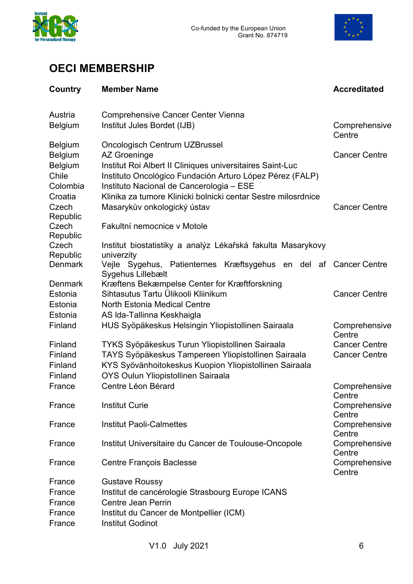



# **OECI MEMBERSHIP**

| Country                                                    | <b>Member Name</b>                                                                                                                                                                                                                  | <b>Accreditated</b>                                    |
|------------------------------------------------------------|-------------------------------------------------------------------------------------------------------------------------------------------------------------------------------------------------------------------------------------|--------------------------------------------------------|
| Austria<br><b>Belgium</b>                                  | <b>Comprehensive Cancer Center Vienna</b><br>Institut Jules Bordet (IJB)                                                                                                                                                            | Comprehensive<br>Centre                                |
| <b>Belgium</b><br><b>Belgium</b><br>Belgium                | Oncologisch Centrum UZBrussel<br><b>AZ Groeninge</b><br>Institut Roi Albert II Cliniques universitaires Saint-Luc                                                                                                                   | <b>Cancer Centre</b>                                   |
| Chile<br>Colombia<br>Croatia<br>Czech<br>Republic<br>Czech | Instituto Oncológico Fundación Arturo López Pérez (FALP)<br>Instituto Nacional de Cancerologia - ESE<br>Klinika za tumore Klinicki bolnicki centar Sestre milosrdnice<br>Masarykův onkologický ústav<br>Fakultní nemocnice v Motole | <b>Cancer Centre</b>                                   |
| Republic<br>Czech                                          | Institut biostatistiky a analýz Lékařská fakulta Masarykovy                                                                                                                                                                         |                                                        |
| Republic<br><b>Denmark</b>                                 | univerzity<br>Vejle Sygehus, Patienternes Kræftsygehus en del af Cancer Centre<br>Sygehus Lillebælt                                                                                                                                 |                                                        |
| <b>Denmark</b><br>Estonia<br>Estonia                       | Kræftens Bekæmpelse Center for Kræftforskning<br>Sihtasutus Tartu Ülikooli Kliinikum<br><b>North Estonia Medical Centre</b>                                                                                                         | <b>Cancer Centre</b>                                   |
| Estonia<br>Finland                                         | AS Ida-Tallinna Keskhaigla<br>HUS Syöpäkeskus Helsingin Yliopistollinen Sairaala                                                                                                                                                    | Comprehensive                                          |
| Finland<br>Finland<br>Finland<br>Finland                   | TYKS Syöpäkeskus Turun Yliopistollinen Sairaala<br>TAYS Syöpäkeskus Tampereen Yliopistollinen Sairaala<br>KYS Syövänhoitokeskus Kuopion Yliopistollinen Sairaala<br>OYS Oulun Yliopistollinen Sairaala                              | Centre<br><b>Cancer Centre</b><br><b>Cancer Centre</b> |
| France                                                     | Centre Léon Bérard                                                                                                                                                                                                                  | Comprehensive                                          |
| France                                                     | <b>Institut Curie</b>                                                                                                                                                                                                               | Centre<br>Comprehensive<br>Centre                      |
| France                                                     | <b>Institut Paoli-Calmettes</b>                                                                                                                                                                                                     | Comprehensive                                          |
| France                                                     | Institut Universitaire du Cancer de Toulouse-Oncopole                                                                                                                                                                               | Centre<br>Comprehensive                                |
| France                                                     | <b>Centre François Baclesse</b>                                                                                                                                                                                                     | Centre<br>Comprehensive<br>Centre                      |
| France<br>France<br>France<br>France<br>France             | <b>Gustave Roussy</b><br>Institut de cancérologie Strasbourg Europe ICANS<br>Centre Jean Perrin<br>Institut du Cancer de Montpellier (ICM)<br><b>Institut Godinot</b>                                                               |                                                        |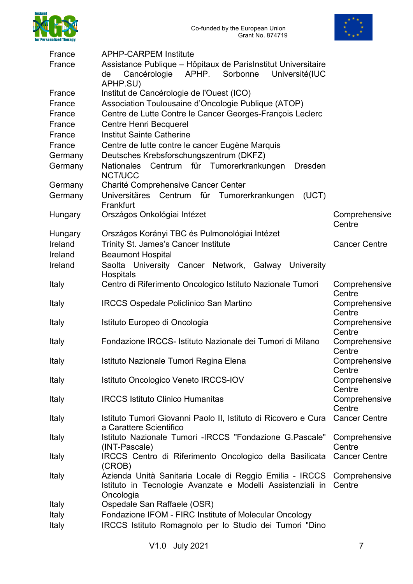



| France             | <b>APHP-CARPEM Institute</b>                                                               |                         |
|--------------------|--------------------------------------------------------------------------------------------|-------------------------|
| France             | Assistance Publique - Hôpitaux de Parishatitut Universitaire                               |                         |
|                    | Cancérologie<br>APHP.<br>Sorbonne<br>Université(IUC<br>de                                  |                         |
|                    | APHP.SU)                                                                                   |                         |
| France             | Institut de Cancérologie de l'Ouest (ICO)                                                  |                         |
| France             | Association Toulousaine d'Oncologie Publique (ATOP)                                        |                         |
| France<br>France   | Centre de Lutte Contre le Cancer Georges-François Leclerc<br><b>Centre Henri Becquerel</b> |                         |
|                    | <b>Institut Sainte Catherine</b>                                                           |                         |
| France<br>France   |                                                                                            |                         |
|                    | Centre de lutte contre le cancer Eugène Marquis<br>Deutsches Krebsforschungszentrum (DKFZ) |                         |
| Germany<br>Germany | Nationales Centrum für Tumorerkrankungen Dresden                                           |                         |
|                    | NCT/UCC                                                                                    |                         |
| Germany            | Charité Comprehensive Cancer Center                                                        |                         |
| Germany            | Universitäres Centrum für Tumorerkrankungen<br>(UCT)                                       |                         |
|                    | Frankfurt                                                                                  |                         |
| Hungary            | Országos Onkológiai Intézet                                                                | Comprehensive           |
|                    |                                                                                            | Centre                  |
| Hungary            | Országos Korányi TBC és Pulmonológiai Intézet                                              |                         |
| Ireland            | Trinity St. James's Cancer Institute                                                       | <b>Cancer Centre</b>    |
| Ireland            | <b>Beaumont Hospital</b>                                                                   |                         |
| Ireland            | Saolta University Cancer Network,<br>Galway<br>University                                  |                         |
|                    | Hospitals                                                                                  |                         |
| Italy              | Centro di Riferimento Oncologico Istituto Nazionale Tumori                                 | Comprehensive<br>Centre |
| Italy              | <b>IRCCS Ospedale Policlinico San Martino</b>                                              | Comprehensive           |
|                    |                                                                                            | Centre                  |
| Italy              | Istituto Europeo di Oncologia                                                              | Comprehensive           |
|                    |                                                                                            | Centre                  |
| Italy              | Fondazione IRCCS- Istituto Nazionale dei Tumori di Milano                                  | Comprehensive           |
|                    |                                                                                            | Centre                  |
| <b>Italy</b>       | Istituto Nazionale Tumori Regina Elena                                                     | Comprehensive           |
|                    |                                                                                            | Centre                  |
| Italy              | Istituto Oncologico Veneto IRCCS-IOV                                                       | Comprehensive<br>Centre |
| Italy              | <b>IRCCS Istituto Clinico Humanitas</b>                                                    | Comprehensive           |
|                    |                                                                                            | Centre                  |
| Italy              | Istituto Tumori Giovanni Paolo II, Istituto di Ricovero e Cura                             | <b>Cancer Centre</b>    |
|                    | a Carattere Scientifico                                                                    |                         |
| Italy              | Istituto Nazionale Tumori - IRCCS "Fondazione G. Pascale"                                  | Comprehensive           |
|                    | (INT-Pascale)                                                                              | Centre                  |
| Italy              | IRCCS Centro di Riferimento Oncologico della Basilicata<br>(CROB)                          | <b>Cancer Centre</b>    |
| Italy              | Azienda Unità Sanitaria Locale di Reggio Emilia - IRCCS                                    | Comprehensive           |
|                    | Istituto in Tecnologie Avanzate e Modelli Assistenziali in                                 | Centre                  |
|                    | Oncologia                                                                                  |                         |
| Italy              | Ospedale San Raffaele (OSR)                                                                |                         |
| Italy              | Fondazione IFOM - FIRC Institute of Molecular Oncology                                     |                         |
| Italy              | IRCCS Istituto Romagnolo per lo Studio dei Tumori "Dino                                    |                         |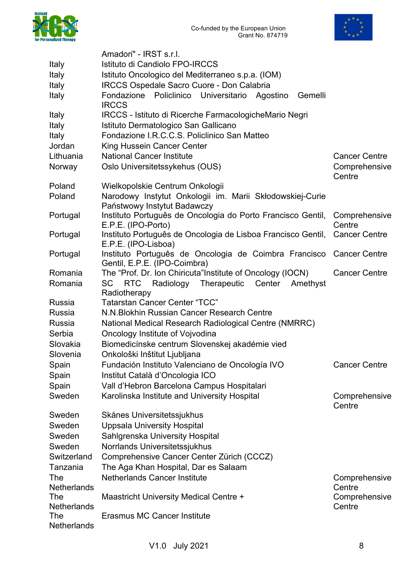



|                    | Amadori" - IRST s.r.l.                                                                              |                         |
|--------------------|-----------------------------------------------------------------------------------------------------|-------------------------|
| Italy              | Istituto di Candiolo FPO-IRCCS                                                                      |                         |
| <b>Italy</b>       | Istituto Oncologico del Mediterraneo s.p.a. (IOM)                                                   |                         |
| Italy              | <b>IRCCS Ospedale Sacro Cuore - Don Calabria</b>                                                    |                         |
| Italy              | Fondazione Policlinico Universitario Agostino<br>Gemelli<br><b>IRCCS</b>                            |                         |
| Italy              | IRCCS - Istituto di Ricerche FarmacologicheMario Negri                                              |                         |
| Italy              | Istituto Dermatologico San Gallicano                                                                |                         |
| Italy              | Fondazione I.R.C.C.S. Policlinico San Matteo                                                        |                         |
| Jordan             | King Hussein Cancer Center                                                                          |                         |
| Lithuania          | <b>National Cancer Institute</b>                                                                    | <b>Cancer Centre</b>    |
| Norway             | Oslo Universitetssykehus (OUS)                                                                      | Comprehensive<br>Centre |
| Poland             | Wielkopolskie Centrum Onkologii                                                                     |                         |
| Poland             | Narodowy Instytut Onkologii im. Marii Skłodowskiej-Curie<br>Państwowy Instytut Badawczy             |                         |
| Portugal           | Instituto Português de Oncologia do Porto Francisco Gentil,<br>E.P.E. (IPO-Porto)                   | Comprehensive<br>Centre |
| Portugal           | Instituto Português de Oncologia de Lisboa Francisco Gentil,<br>E.P.E. (IPO-Lisboa)                 | <b>Cancer Centre</b>    |
| Portugal           | Instituto Português de Oncologia de Coimbra Francisco Cancer Centre<br>Gentil, E.P.E. (IPO-Coimbra) |                         |
| Romania            | The "Prof. Dr. Ion Chiricuta" Institute of Oncology (IOCN)                                          | <b>Cancer Centre</b>    |
| Romania            | <b>RTC</b><br>Radiology<br>Therapeutic<br>Center<br>SC<br>Amethyst<br>Radiotherapy                  |                         |
| Russia             | <b>Tatarstan Cancer Center "TCC"</b>                                                                |                         |
| Russia             | N.N. Blokhin Russian Cancer Research Centre                                                         |                         |
| Russia             | National Medical Research Radiological Centre (NMRRC)                                               |                         |
| Serbia             | Oncology Institute of Vojvodina                                                                     |                         |
| Slovakia           | Biomedicínske centrum Slovenskej akadémie vied                                                      |                         |
| Slovenia           | Onkološki Inštitut Ljubljana                                                                        |                         |
| Spain              | Fundación Instituto Valenciano de Oncología IVO                                                     | <b>Cancer Centre</b>    |
| Spain              | Institut Català d'Oncologia ICO                                                                     |                         |
| Spain              | Vall d'Hebron Barcelona Campus Hospitalari                                                          |                         |
| Sweden             | Karolinska Institute and University Hospital                                                        | Comprehensive<br>Centre |
| Sweden             | Skånes Universitetssjukhus                                                                          |                         |
| Sweden             | <b>Uppsala University Hospital</b>                                                                  |                         |
| Sweden             | Sahlgrenska University Hospital                                                                     |                         |
| Sweden             | Norrlands Universitetssjukhus                                                                       |                         |
| Switzerland        | Comprehensive Cancer Center Zürich (CCCZ)                                                           |                         |
| Tanzania           | The Aga Khan Hospital, Dar es Salaam                                                                |                         |
| The<br>Netherlands | <b>Netherlands Cancer Institute</b>                                                                 | Comprehensive<br>Centre |
| The                | Maastricht University Medical Centre +                                                              | Comprehensive           |
| Netherlands        |                                                                                                     | Centre                  |
| The                | <b>Erasmus MC Cancer Institute</b>                                                                  |                         |
| Netherlands        |                                                                                                     |                         |